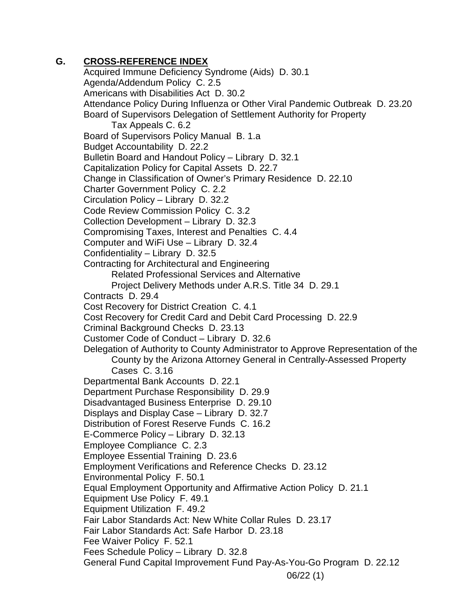## **G. CROSS-REFERENCE INDEX**

06/22 (1) Acquired Immune Deficiency Syndrome (Aids) D. 30.1 Agenda/Addendum Policy C. 2.5 Americans with Disabilities Act D. 30.2 Attendance Policy During Influenza or Other Viral Pandemic Outbreak D. 23.20 Board of Supervisors Delegation of Settlement Authority for Property Tax Appeals C. 6.2 Board of Supervisors Policy Manual B. 1.a Budget Accountability D. 22.2 Bulletin Board and Handout Policy – Library D. 32.1 Capitalization Policy for Capital Assets D. 22.7 Change in Classification of Owner's Primary Residence D. 22.10 Charter Government Policy C. 2.2 Circulation Policy – Library D. 32.2 Code Review Commission Policy C. 3.2 Collection Development – Library D. 32.3 Compromising Taxes, Interest and Penalties C. 4.4 Computer and WiFi Use – Library D. 32.4 Confidentiality – Library D. 32.5 Contracting for Architectural and Engineering Related Professional Services and Alternative Project Delivery Methods under A.R.S. Title 34 D. 29.1 Contracts D. 29.4 Cost Recovery for District Creation C. 4.1 Cost Recovery for Credit Card and Debit Card Processing D. 22.9 Criminal Background Checks D. 23.13 Customer Code of Conduct – Library D. 32.6 Delegation of Authority to County Administrator to Approve Representation of the County by the Arizona Attorney General in Centrally-Assessed Property Cases C. 3.16 Departmental Bank Accounts D. 22.1 Department Purchase Responsibility D. 29.9 Disadvantaged Business Enterprise D. 29.10 Displays and Display Case – Library D. 32.7 Distribution of Forest Reserve Funds C. 16.2 E-Commerce Policy – Library D. 32.13 Employee Compliance C. 2.3 Employee Essential Training D. 23.6 Employment Verifications and Reference Checks D. 23.12 Environmental Policy F. 50.1 Equal Employment Opportunity and Affirmative Action Policy D. 21.1 Equipment Use Policy F. 49.1 Equipment Utilization F. 49.2 Fair Labor Standards Act: New White Collar Rules D. 23.17 Fair Labor Standards Act: Safe Harbor D. 23.18 Fee Waiver Policy F. 52.1 Fees Schedule Policy – Library D. 32.8 General Fund Capital Improvement Fund Pay-As-You-Go Program D. 22.12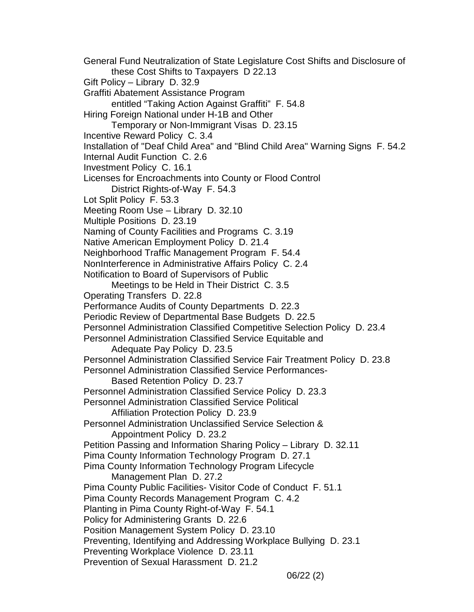General Fund Neutralization of State Legislature Cost Shifts and Disclosure of these Cost Shifts to Taxpayers D 22.13 Gift Policy – Library D. 32.9 Graffiti Abatement Assistance Program entitled "Taking Action Against Graffiti" F. 54.8 Hiring Foreign National under H-1B and Other Temporary or Non-Immigrant Visas D. 23.15 Incentive Reward Policy C. 3.4 Installation of "Deaf Child Area" and "Blind Child Area" Warning Signs F. 54.2 Internal Audit Function C. 2.6 Investment Policy C. 16.1 Licenses for Encroachments into County or Flood Control District Rights-of-Way F. 54.3 Lot Split Policy F. 53.3 Meeting Room Use – Library D. 32.10 Multiple Positions D. 23.19 Naming of County Facilities and Programs C. 3.19 Native American Employment Policy D. 21.4 Neighborhood Traffic Management Program F. 54.4 NonInterference in Administrative Affairs Policy C. 2.4 Notification to Board of Supervisors of Public Meetings to be Held in Their District C. 3.5 Operating Transfers D. 22.8 Performance Audits of County Departments D. 22.3 Periodic Review of Departmental Base Budgets D. 22.5 Personnel Administration Classified Competitive Selection Policy D. 23.4 Personnel Administration Classified Service Equitable and Adequate Pay Policy D. 23.5 Personnel Administration Classified Service Fair Treatment Policy D. 23.8 Personnel Administration Classified Service Performances-Based Retention Policy D. 23.7 Personnel Administration Classified Service Policy D. 23.3 Personnel Administration Classified Service Political Affiliation Protection Policy D. 23.9 Personnel Administration Unclassified Service Selection & Appointment Policy D. 23.2 Petition Passing and Information Sharing Policy – Library D. 32.11 Pima County Information Technology Program D. 27.1 Pima County Information Technology Program Lifecycle Management Plan D. 27.2 Pima County Public Facilities- Visitor Code of Conduct F. 51.1 Pima County Records Management Program C. 4.2 Planting in Pima County Right-of-Way F. 54.1 Policy for Administering Grants D. 22.6 Position Management System Policy D. 23.10 Preventing, Identifying and Addressing Workplace Bullying D. 23.1 Preventing Workplace Violence D. 23.11 Prevention of Sexual Harassment D. 21.2